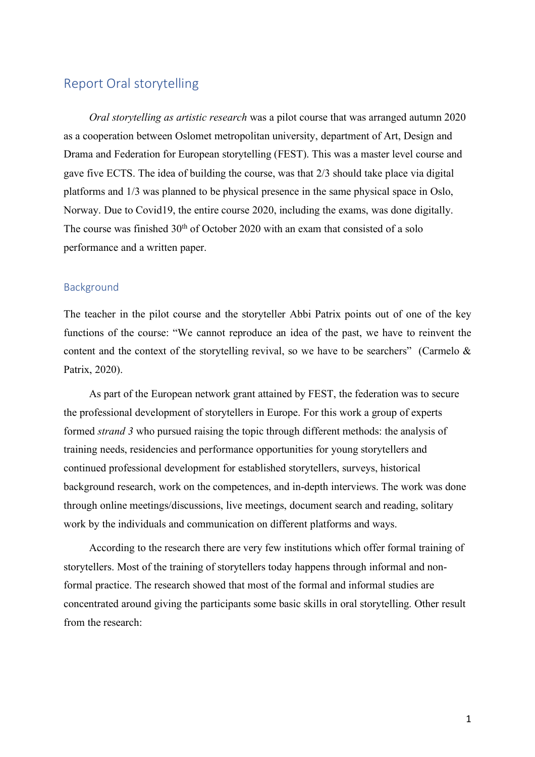# Report Oral storytelling

*Oral storytelling as artistic research* was a pilot course that was arranged autumn 2020 as a cooperation between Oslomet metropolitan university, department of Art, Design and Drama and Federation for European storytelling (FEST). This was a master level course and gave five ECTS. The idea of building the course, was that 2/3 should take place via digital platforms and 1/3 was planned to be physical presence in the same physical space in Oslo, Norway. Due to Covid19, the entire course 2020, including the exams, was done digitally. The course was finished 30<sup>th</sup> of October 2020 with an exam that consisted of a solo performance and a written paper.

#### Background

The teacher in the pilot course and the storyteller Abbi Patrix points out of one of the key functions of the course: "We cannot reproduce an idea of the past, we have to reinvent the content and the context of the storytelling revival, so we have to be searchers" (Carmelo  $\&$ Patrix, 2020).

As part of the European network grant attained by FEST, the federation was to secure the professional development of storytellers in Europe. For this work a group of experts formed *strand 3* who pursued raising the topic through different methods: the analysis of training needs, residencies and performance opportunities for young storytellers and continued professional development for established storytellers, surveys, historical background research, work on the competences, and in-depth interviews. The work was done through online meetings/discussions, live meetings, document search and reading, solitary work by the individuals and communication on different platforms and ways.

According to the research there are very few institutions which offer formal training of storytellers. Most of the training of storytellers today happens through informal and nonformal practice. The research showed that most of the formal and informal studies are concentrated around giving the participants some basic skills in oral storytelling. Other result from the research: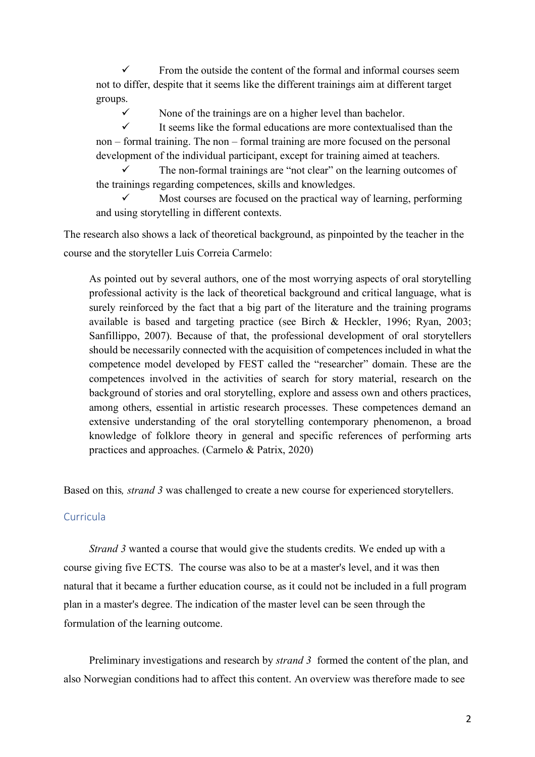$\checkmark$  From the outside the content of the formal and informal courses seem not to differ, despite that it seems like the different trainings aim at different target groups.

 $\checkmark$  None of the trainings are on a higher level than bachelor.

 $\checkmark$  It seems like the formal educations are more contextualised than the non – formal training. The non – formal training are more focused on the personal development of the individual participant, except for training aimed at teachers.

The non-formal trainings are "not clear" on the learning outcomes of the trainings regarding competences, skills and knowledges.

Most courses are focused on the practical way of learning, performing and using storytelling in different contexts.

The research also shows a lack of theoretical background, as pinpointed by the teacher in the course and the storyteller Luis Correia Carmelo:

As pointed out by several authors, one of the most worrying aspects of oral storytelling professional activity is the lack of theoretical background and critical language, what is surely reinforced by the fact that a big part of the literature and the training programs available is based and targeting practice (see Birch & Heckler, 1996; Ryan, 2003; Sanfillippo, 2007). Because of that, the professional development of oral storytellers should be necessarily connected with the acquisition of competences included in what the competence model developed by FEST called the "researcher" domain. These are the competences involved in the activities of search for story material, research on the background of stories and oral storytelling, explore and assess own and others practices, among others, essential in artistic research processes. These competences demand an extensive understanding of the oral storytelling contemporary phenomenon, a broad knowledge of folklore theory in general and specific references of performing arts practices and approaches. (Carmelo & Patrix, 2020)

Based on this*, strand 3* was challenged to create a new course for experienced storytellers.

# Curricula

*Strand 3* wanted a course that would give the students credits. We ended up with a course giving five ECTS. The course was also to be at a master's level, and it was then natural that it became a further education course, as it could not be included in a full program plan in a master's degree. The indication of the master level can be seen through the formulation of the learning outcome.

Preliminary investigations and research by *strand 3* formed the content of the plan, and also Norwegian conditions had to affect this content. An overview was therefore made to see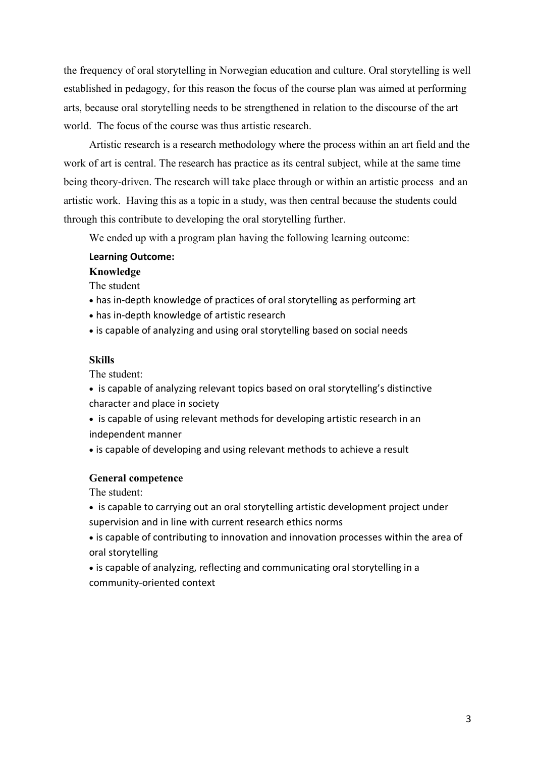the frequency of oral storytelling in Norwegian education and culture. Oral storytelling is well established in pedagogy, for this reason the focus of the course plan was aimed at performing arts, because oral storytelling needs to be strengthened in relation to the discourse of the art world. The focus of the course was thus artistic research.

Artistic research is a research methodology where the process within an art field and the work of art is central. The research has practice as its central subject, while at the same time being theory-driven. The research will take place through or within an artistic process and an artistic work. Having this as a topic in a study, was then central because the students could through this contribute to developing the oral storytelling further.

We ended up with a program plan having the following learning outcome:

## **Learning Outcome:**

## **Knowledge**

The student

- has in-depth knowledge of practices of oral storytelling as performing art
- has in-depth knowledge of artistic research
- is capable of analyzing and using oral storytelling based on social needs

# **Skills**

The student:

- is capable of analyzing relevant topics based on oral storytelling's distinctive character and place in society
- is capable of using relevant methods for developing artistic research in an independent manner
- is capable of developing and using relevant methods to achieve a result

#### **General competence**

The student:

- is capable to carrying out an oral storytelling artistic development project under supervision and in line with current research ethics norms
- is capable of contributing to innovation and innovation processes within the area of oral storytelling
- is capable of analyzing, reflecting and communicating oral storytelling in a community-oriented context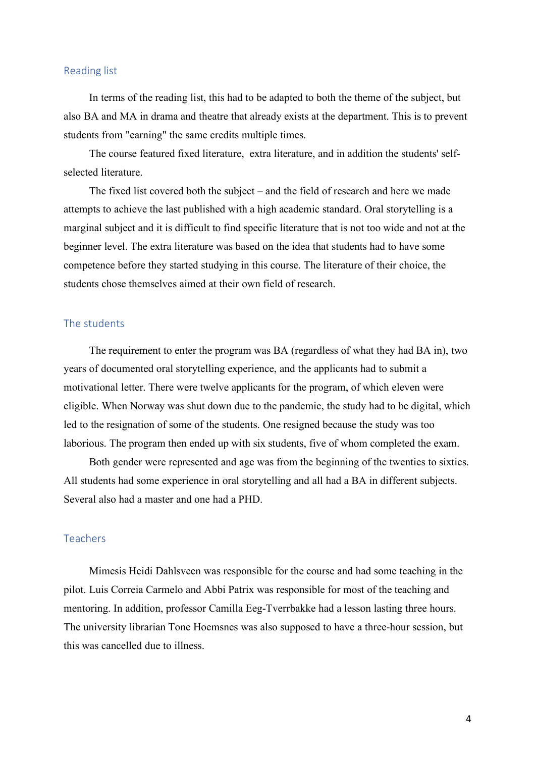#### Reading list

In terms of the reading list, this had to be adapted to both the theme of the subject, but also BA and MA in drama and theatre that already exists at the department. This is to prevent students from "earning" the same credits multiple times.

The course featured fixed literature, extra literature, and in addition the students' selfselected literature.

The fixed list covered both the subject – and the field of research and here we made attempts to achieve the last published with a high academic standard. Oral storytelling is a marginal subject and it is difficult to find specific literature that is not too wide and not at the beginner level. The extra literature was based on the idea that students had to have some competence before they started studying in this course. The literature of their choice, the students chose themselves aimed at their own field of research.

# The students

The requirement to enter the program was BA (regardless of what they had BA in), two years of documented oral storytelling experience, and the applicants had to submit a motivational letter. There were twelve applicants for the program, of which eleven were eligible. When Norway was shut down due to the pandemic, the study had to be digital, which led to the resignation of some of the students. One resigned because the study was too laborious. The program then ended up with six students, five of whom completed the exam.

Both gender were represented and age was from the beginning of the twenties to sixties. All students had some experience in oral storytelling and all had a BA in different subjects. Several also had a master and one had a PHD.

### Teachers

Mimesis Heidi Dahlsveen was responsible for the course and had some teaching in the pilot. Luis Correia Carmelo and Abbi Patrix was responsible for most of the teaching and mentoring. In addition, professor Camilla Eeg-Tverrbakke had a lesson lasting three hours. The university librarian Tone Hoemsnes was also supposed to have a three-hour session, but this was cancelled due to illness.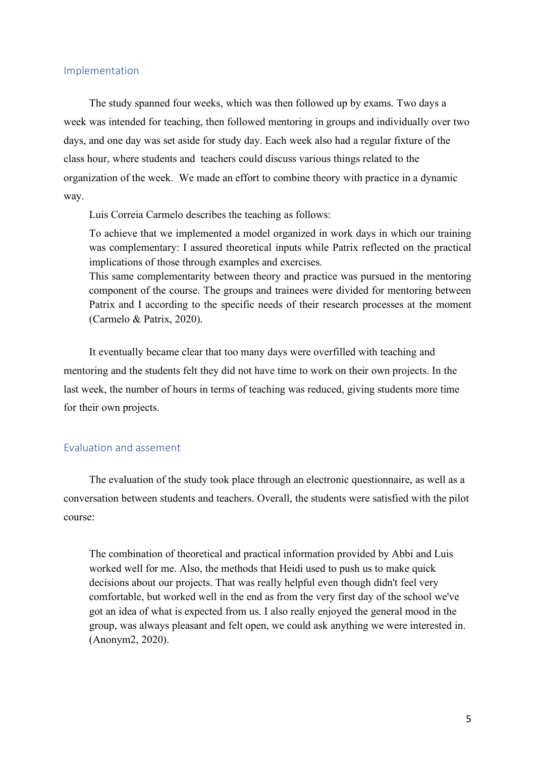#### Implementation

The study spanned four weeks, which was then followed up by exams. Two days a week was intended for teaching, then followed mentoring in groups and individually over two days, and one day was set aside for study day. Each week also had a regular fixture of the class hour, where students and teachers could discuss various things related to the organization of the week. We made an effort to combine theory with practice in a dynamic way.

Luis Correia Carmelo describes the teaching as follows:

To achieve that we implemented a model organized in work days in which our training was complementary: I assured theoretical inputs while Patrix reflected on the practical implications of those through examples and exercises.

This same complementarity between theory and practice was pursued in the mentoring component of the course. The groups and trainees were divided for mentoring between Patrix and I according to the specific needs of their research processes at the moment (Carmelo & Patrix, 2020).

It eventually became clear that too many days were overfilled with teaching and mentoring and the students felt they did not have time to work on their own projects. In the last week, the number of hours in terms of teaching was reduced, giving students more time for their own projects.

# Evaluation and assement

The evaluation of the study took place through an electronic questionnaire, as well as a conversation between students and teachers. Overall, the students were satisfied with the pilot course:

The combination of theoretical and practical information provided by Abbi and Luis worked well for me. Also, the methods that Heidi used to push us to make quick decisions about our projects. That was really helpful even though didn't feel very comfortable, but worked well in the end as from the very first day of the school we've got an idea of what is expected from us. I also really enjoyed the general mood in the group, was always pleasant and felt open, we could ask anything we were interested in. (Anonym2, 2020).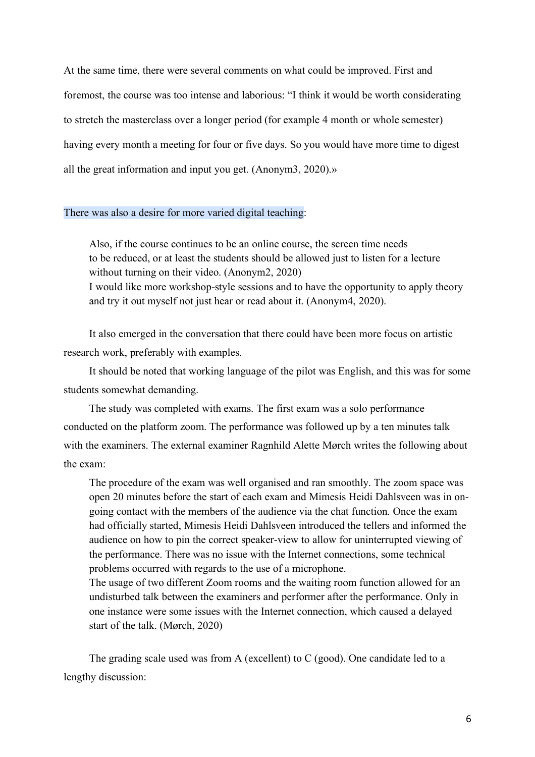At the same time, there were several comments on what could be improved. First and foremost, the course was too intense and laborious: "I think it would be worth considerating to stretch the masterclass over a longer period (for example 4 month or whole semester) having every month a meeting for four or five days. So you would have more time to digest all the great information and input you get. (Anonym3, 2020).»

#### There was also a desire for more varied digital teaching:

Also, if the course continues to be an online course, the screen time needs to be reduced, or at least the students should be allowed just to listen for a lecture without turning on their video. (Anonym2, 2020) I would like more workshop-style sessions and to have the opportunity to apply theory and try it out myself not just hear or read about it. (Anonym4, 2020).

It also emerged in the conversation that there could have been more focus on artistic research work, preferably with examples.

It should be noted that working language of the pilot was English, and this was for some students somewhat demanding.

The study was completed with exams. The first exam was a solo performance conducted on the platform zoom. The performance was followed up by a ten minutes talk with the examiners. The external examiner Ragnhild Alette Mørch writes the following about the exam:

The procedure of the exam was well organised and ran smoothly. The zoom space was open 20 minutes before the start of each exam and Mimesis Heidi Dahlsveen was in ongoing contact with the members of the audience via the chat function. Once the exam had officially started, Mimesis Heidi Dahlsveen introduced the tellers and informed the audience on how to pin the correct speaker-view to allow for uninterrupted viewing of the performance. There was no issue with the Internet connections, some technical problems occurred with regards to the use of a microphone.

The usage of two different Zoom rooms and the waiting room function allowed for an undisturbed talk between the examiners and performer after the performance. Only in one instance were some issues with the Internet connection, which caused a delayed start of the talk. (Mørch, 2020)

The grading scale used was from A (excellent) to C (good). One candidate led to a lengthy discussion: